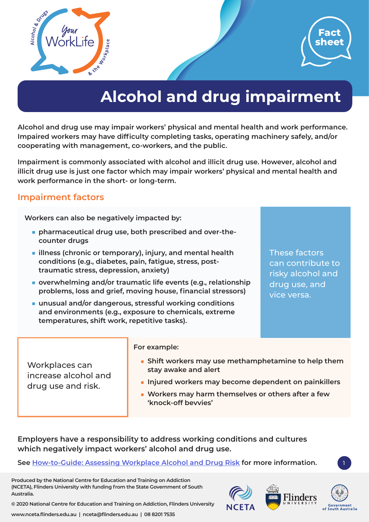



# **Alcohol and drug impairment**

**Alcohol and drug use may impair workers' physical and mental health and work performance. Impaired workers may have difficulty completing tasks, operating machinery safely, and/or cooperating with management, co-workers, and the public.** 

**Impairment is commonly associated with alcohol and illicit drug use. However, alcohol and illicit drug use is just one factor which may impair workers' physical and mental health and work performance in the short- or long-term.** 

# **Impairment factors**

**Workers can also be negatively impacted by:**

- **■ pharmaceutical drug use, both prescribed and over-thecounter drugs**
- **■ illness (chronic or temporary), injury, and mental health conditions (e.g., diabetes, pain, fatigue, stress, posttraumatic stress, depression, anxiety)**
- **overwhelming and/or traumatic life events (e.g., relationship problems, loss and grief, moving house, financial stressors)**

**For example:**

**■ unusual and/or dangerous, stressful working conditions and environments (e.g., exposure to chemicals, extreme temperatures, shift work, repetitive tasks).** 

These factors can contribute to risky alcohol and drug use, and vice versa.

|                    | Workplaces can<br>increase alcohol and                                     | • Shift workers may use methamphetamine to help them<br>stay awake and alert |
|--------------------|----------------------------------------------------------------------------|------------------------------------------------------------------------------|
| drug use and risk. | Injured workers may become dependent on painkillers                        |                                                                              |
|                    | • Workers may harm themselves or others after a few<br>'knock-off bevvies' |                                                                              |

**Employers have a responsibility to address working conditions and cultures which negatively impact workers' alcohol and drug use.** 

**See How-to-Guide[: Assessing Workplace Alcohol and Drug Risk](https://worklife.flinders.edu.au/download_file/622/0) for more information.**

**Produced by the National Centre for Education and Training on Addiction (NCETA), Flinders University with funding from the State Government of South Australia.** 



1

**© 2020 National Centre for Education and Training on Addiction, Flinders University**

**www.nceta.flinders.edu.au | nceta@flinders.edu.au | 08 8201 7535**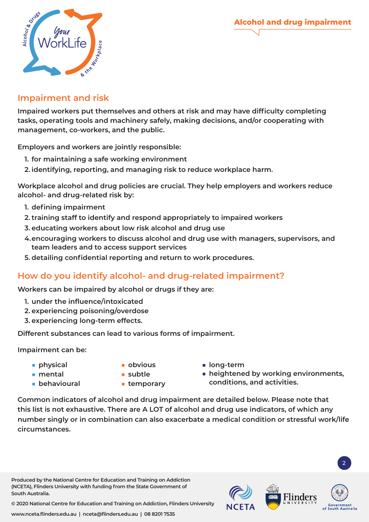**Alcohol and drug impairment**



# **Impairment and risk**

**Impaired workers put themselves and others at risk and may have difficulty completing tasks, operating tools and machinery safely, making decisions, and/or cooperating with management, co-workers, and the public.** 

**Employers and workers are jointly responsible:**

- **1. for maintaining a safe working environment**
- **2. identifying, reporting, and managing risk to reduce workplace harm.**

**Workplace alcohol and drug policies are crucial. They help employers and workers reduce alcohol- and drug-related risk by:**

- **1. defining impairment**
- **2. training staff to identify and respond appropriately to impaired workers**
- **3. educating workers about low risk alcohol and drug use**
- **4.encouraging workers to discuss alcohol and drug use with managers, supervisors, and team leaders and to access support services**
- **5. detailing confidential reporting and return to work procedures.**

## **How do you identify alcohol- and drug-related impairment?**

**Workers can be impaired by alcohol or drugs if they are:**

- **1. under the influence/intoxicated**
- **2. experiencing poisoning/overdose**
- **3. experiencing long-term effects.**

**Different substances can lead to various forms of impairment.** 

**Impairment can be:**

- **■ physical**
- **■ obvious**
- **■ long-term**
- **■ mental ■ behavioural**
- **■ subtle ■ temporary**
- **heightened by working environments, conditions, and activities.**

**Common indicators of alcohol and drug impairment are detailed below. Please note that this list is not exhaustive. There are A LOT of alcohol and drug use indicators, of which any number singly or in combination can also exacerbate a medical condition or stressful work/life circumstances.** 

**Produced by the National Centre for Education and Training on Addiction (NCETA), Flinders University with funding from the State Government of South Australia.** 



2

**© 2020 National Centre for Education and Training on Addiction, Flinders University**

**www.nceta.flinders.edu.au | nceta@flinders.edu.au | 08 8201 7535**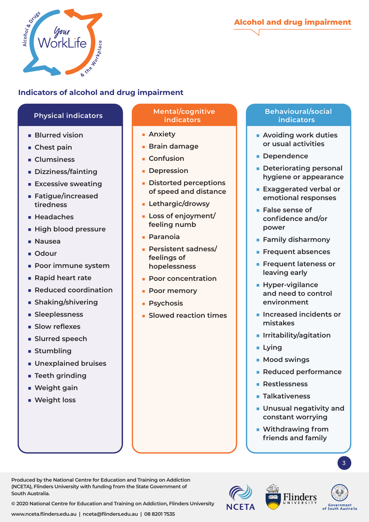



# **Indicators of alcohol and drug impairment**

- **■ Blurred vision**
- **■ Chest pain**
- **■ Clumsiness**
- **■ Dizziness/fainting**
- **■ Excessive sweating**
- **■ Fatigue/increased tiredness**
- **■ Headaches**
- **■ High blood pressure**
- **■ Nausea**
- **■ Odour**
- **■ Poor immune system**
- **■ Rapid heart rate**
- **■ Reduced coordination**
- **■ Shaking/shivering**
- **■ Sleeplessness**
- **■ Slow reflexes**
- **■ Slurred speech**
- **■ Stumbling**
- **■ Unexplained bruises**
- **■ Teeth grinding**
- **■ Weight gain**
- **■ Weight loss**

**South Australia.** 

#### **Physical indicators Mental/cognitive indicators**

- **■ Anxiety**
- **■ Brain damage**
- **■ Confusion**
- **■ Depression**
- **■ Distorted perceptions of speed and distance**
- **■ Lethargic/drowsy**
- **■ Loss of enjoyment/ feeling numb**
- **■ Paranoia**
- **■ Persistent sadness/ feelings of hopelessness**
- **■ Poor concentration**
- **■ Poor memory**
- **■ Psychosis**
- **■ Slowed reaction times**

### **Behavioural/social indicators**

- **■ Avoiding work duties or usual activities**
- **■ Dependence**
- **■ Deteriorating personal hygiene or appearance**
- **■ Exaggerated verbal or emotional responses**
- **■ False sense of confidence and/or power**
- **■ Family disharmony**
- **■ Frequent absences**
- **■ Frequent lateness or leaving early**
- **■ Hyper-vigilance and need to control environment**
- **■ Increased incidents or mistakes**
- **■ Irritability/agitation**
- **■ Lying**
- **■ Mood swings**
- **■ Reduced performance**
- **■ Restlessness**
- **■ Talkativeness**
- **■ Unusual negativity and constant worrying**
- Withdrawing from **friends and family**





**© 2020 National Centre for Education and Training on Addiction, Flinders University**

**Produced by the National Centre for Education and Training on Addiction (NCETA), Flinders University with funding from the State Government of** 

3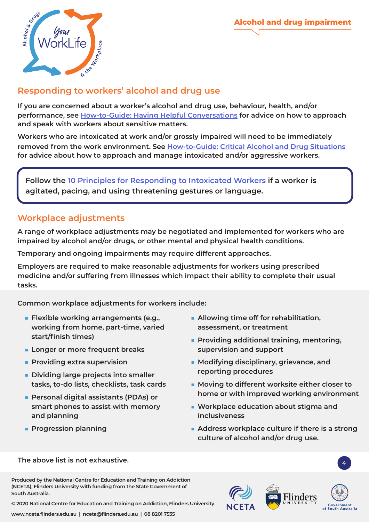



# **Responding to workers' alcohol and drug use**

**If you are concerned about a worker's alcohol and drug use, behaviour, health, and/or performance, see How-to-Guide[: Having Helpful Conversations](https://worklife.flinders.edu.au/download_file/620/0) for advice on how to approach and speak with workers about sensitive matters.** 

**Workers who are intoxicated at work and/or grossly impaired will need to be immediately removed from the work environment. See How-to-Guide[: Critical Alcohol and Drug Situations](https://worklife.flinders.edu.au/download_file/623/0) for advice about how to approach and manage intoxicated and/or aggressive workers.** 

**Follow the [10 Principles for Responding to Intoxicated Workers](https://worklife.flinders.edu.au/download_file/563/0) if a worker is agitated, pacing, and using threatening gestures or language.**

# **Workplace adjustments**

**A range of workplace adjustments may be negotiated and implemented for workers who are impaired by alcohol and/or drugs, or other mental and physical health conditions.** 

**Temporary and ongoing impairments may require different approaches.** 

**Employers are required to make reasonable adjustments for workers using prescribed medicine and/or suffering from illnesses which impact their ability to complete their usual tasks.** 

**Common workplace adjustments for workers include:**

- **■ Flexible working arrangements (e.g., working from home, part-time, varied start/finish times)**
- **■ Longer or more frequent breaks**
- **■ Providing extra supervision**
- **■ Dividing large projects into smaller tasks, to-do lists, checklists, task cards**
- **■ Personal digital assistants (PDAs) or smart phones to assist with memory and planning**
- **■ Progression planning**
- **■ Allowing time off for rehabilitation, assessment, or treatment**
- **■ Providing additional training, mentoring, supervision and support**
- **Modifying disciplinary, grievance, and reporting procedures**
- **Moving to different worksite either closer to home or with improved working environment**
- Workplace education about stigma and **inclusiveness**
- **Address workplace culture if there is a strong culture of alcohol and/or drug use.**

#### **The above list is not exhaustive.** <sup>4</sup>

**Produced by the National Centre for Education and Training on Addiction (NCETA), Flinders University with funding from the State Government of South Australia.** 

**© 2020 National Centre for Education and Training on Addiction, Flinders University**

**www.nceta.flinders.edu.au | nceta@flinders.edu.au | 08 8201 7535**